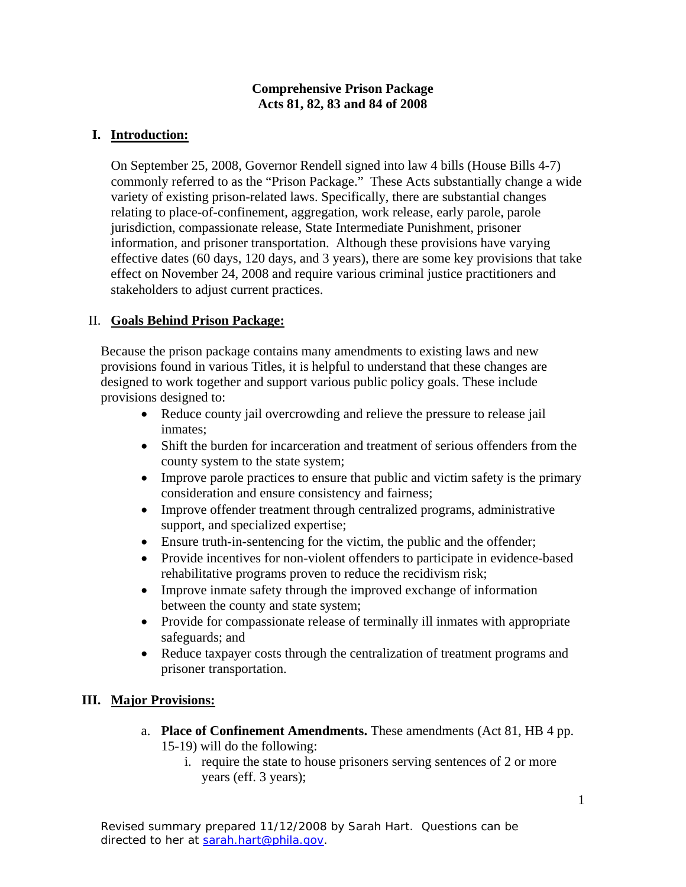## **Comprehensive Prison Package Acts 81, 82, 83 and 84 of 2008**

# **I. Introduction:**

On September 25, 2008, Governor Rendell signed into law 4 bills (House Bills 4-7) commonly referred to as the "Prison Package." These Acts substantially change a wide variety of existing prison-related laws. Specifically, there are substantial changes relating to place-of-confinement, aggregation, work release, early parole, parole jurisdiction, compassionate release, State Intermediate Punishment, prisoner information, and prisoner transportation. Although these provisions have varying effective dates (60 days, 120 days, and 3 years), there are some key provisions that take effect on November 24, 2008 and require various criminal justice practitioners and stakeholders to adjust current practices.

# II. **Goals Behind Prison Package:**

Because the prison package contains many amendments to existing laws and new provisions found in various Titles, it is helpful to understand that these changes are designed to work together and support various public policy goals. These include provisions designed to:

- Reduce county jail overcrowding and relieve the pressure to release jail inmates;
- Shift the burden for incarceration and treatment of serious offenders from the county system to the state system;
- Improve parole practices to ensure that public and victim safety is the primary consideration and ensure consistency and fairness;
- Improve offender treatment through centralized programs, administrative support, and specialized expertise;
- Ensure truth-in-sentencing for the victim, the public and the offender;
- Provide incentives for non-violent offenders to participate in evidence-based rehabilitative programs proven to reduce the recidivism risk;
- Improve inmate safety through the improved exchange of information between the county and state system;
- Provide for compassionate release of terminally ill inmates with appropriate safeguards; and
- Reduce taxpayer costs through the centralization of treatment programs and prisoner transportation.

# **III. Major Provisions:**

- a. **Place of Confinement Amendments.** These amendments (Act 81, HB 4 pp. 15-19) will do the following:
	- i. require the state to house prisoners serving sentences of 2 or more years (eff. 3 years);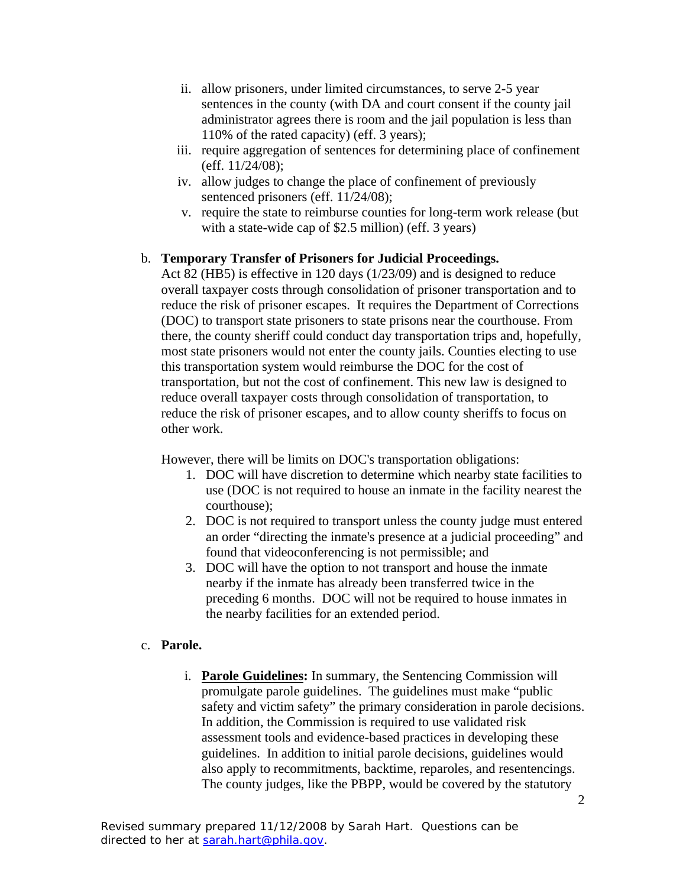- ii. allow prisoners, under limited circumstances, to serve 2-5 year sentences in the county (with DA and court consent if the county jail administrator agrees there is room and the jail population is less than 110% of the rated capacity) (eff. 3 years);
- iii. require aggregation of sentences for determining place of confinement (eff. 11/24/08);
- iv. allow judges to change the place of confinement of previously sentenced prisoners (eff. 11/24/08);
- v. require the state to reimburse counties for long-term work release (but with a state-wide cap of \$2.5 million) (eff. 3 years)

# b. **Temporary Transfer of Prisoners for Judicial Proceedings.**

Act 82 (HB5) is effective in 120 days (1/23/09) and is designed to reduce overall taxpayer costs through consolidation of prisoner transportation and to reduce the risk of prisoner escapes. It requires the Department of Corrections (DOC) to transport state prisoners to state prisons near the courthouse. From there, the county sheriff could conduct day transportation trips and, hopefully, most state prisoners would not enter the county jails. Counties electing to use this transportation system would reimburse the DOC for the cost of transportation, but not the cost of confinement. This new law is designed to reduce overall taxpayer costs through consolidation of transportation, to reduce the risk of prisoner escapes, and to allow county sheriffs to focus on other work.

However, there will be limits on DOC's transportation obligations:

- 1. DOC will have discretion to determine which nearby state facilities to use (DOC is not required to house an inmate in the facility nearest the courthouse);
- 2. DOC is not required to transport unless the county judge must entered an order "directing the inmate's presence at a judicial proceeding" and found that videoconferencing is not permissible; and
- 3. DOC will have the option to not transport and house the inmate nearby if the inmate has already been transferred twice in the preceding 6 months. DOC will not be required to house inmates in the nearby facilities for an extended period.

## c. **Parole.**

i. **Parole Guidelines:** In summary, the Sentencing Commission will promulgate parole guidelines. The guidelines must make "public safety and victim safety" the primary consideration in parole decisions. In addition, the Commission is required to use validated risk assessment tools and evidence-based practices in developing these guidelines. In addition to initial parole decisions, guidelines would also apply to recommitments, backtime, reparoles, and resentencings. The county judges, like the PBPP, would be covered by the statutory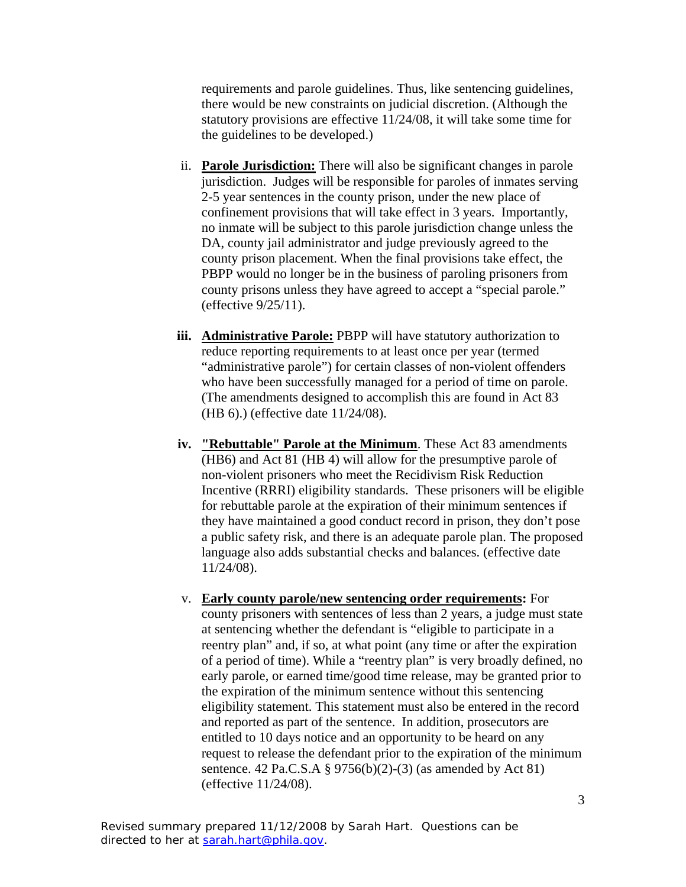requirements and parole guidelines. Thus, like sentencing guidelines, there would be new constraints on judicial discretion. (Although the statutory provisions are effective 11/24/08, it will take some time for the guidelines to be developed.)

- ii. **Parole Jurisdiction:** There will also be significant changes in parole jurisdiction. Judges will be responsible for paroles of inmates serving 2-5 year sentences in the county prison, under the new place of confinement provisions that will take effect in 3 years. Importantly, no inmate will be subject to this parole jurisdiction change unless the DA, county jail administrator and judge previously agreed to the county prison placement. When the final provisions take effect, the PBPP would no longer be in the business of paroling prisoners from county prisons unless they have agreed to accept a "special parole." (effective 9/25/11).
- **iii.** Administrative Parole: PBPP will have statutory authorization to reduce reporting requirements to at least once per year (termed "administrative parole") for certain classes of non-violent offenders who have been successfully managed for a period of time on parole. (The amendments designed to accomplish this are found in Act 83 (HB 6).) (effective date 11/24/08).
- **iv. "Rebuttable" Parole at the Minimum**. These Act 83 amendments (HB6) and Act 81 (HB 4) will allow for the presumptive parole of non-violent prisoners who meet the Recidivism Risk Reduction Incentive (RRRI) eligibility standards. These prisoners will be eligible for rebuttable parole at the expiration of their minimum sentences if they have maintained a good conduct record in prison, they don't pose a public safety risk, and there is an adequate parole plan. The proposed language also adds substantial checks and balances. (effective date 11/24/08).
- v. **Early county parole/new sentencing order requirements:** For county prisoners with sentences of less than 2 years, a judge must state at sentencing whether the defendant is "eligible to participate in a reentry plan" and, if so, at what point (any time or after the expiration of a period of time). While a "reentry plan" is very broadly defined, no early parole, or earned time/good time release, may be granted prior to the expiration of the minimum sentence without this sentencing eligibility statement. This statement must also be entered in the record and reported as part of the sentence. In addition, prosecutors are entitled to 10 days notice and an opportunity to be heard on any request to release the defendant prior to the expiration of the minimum sentence. 42 Pa.C.S.A § 9756(b)(2)-(3) (as amended by Act 81) (effective 11/24/08).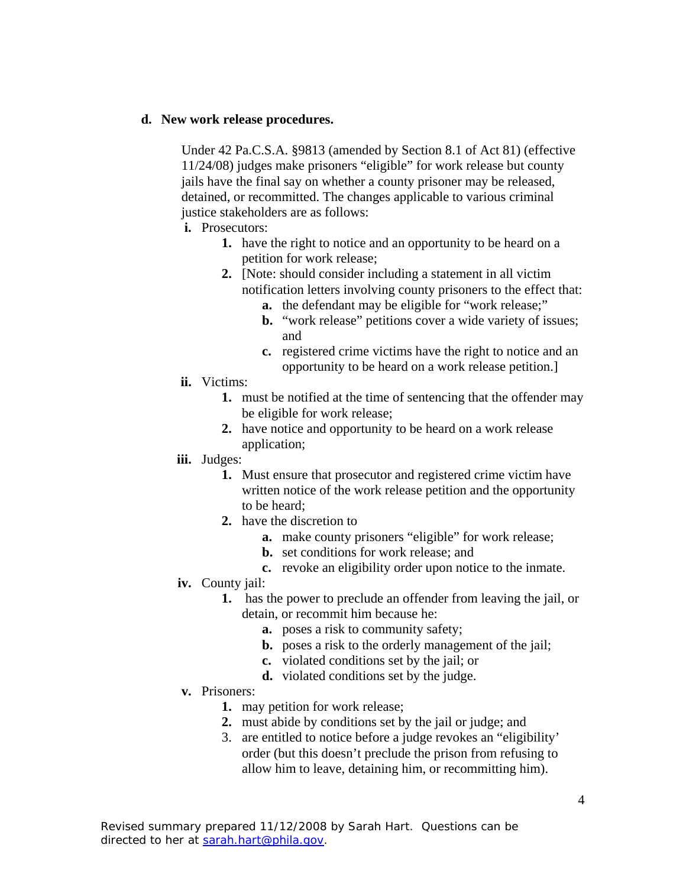### **d. New work release procedures.**

Under 42 Pa.C.S.A. §9813 (amended by Section 8.1 of Act 81) (effective 11/24/08) judges make prisoners "eligible" for work release but county jails have the final say on whether a county prisoner may be released, detained, or recommitted. The changes applicable to various criminal justice stakeholders are as follows:

- **i.** Prosecutors:
	- **1.** have the right to notice and an opportunity to be heard on a petition for work release;
	- **2.** [Note: should consider including a statement in all victim notification letters involving county prisoners to the effect that:
		- **a.** the defendant may be eligible for "work release;"
		- **b.** "work release" petitions cover a wide variety of issues; and
		- **c.** registered crime victims have the right to notice and an opportunity to be heard on a work release petition.]
- **ii.** Victims:
	- **1.** must be notified at the time of sentencing that the offender may be eligible for work release;
	- **2.** have notice and opportunity to be heard on a work release application;
- **iii.** Judges:
	- **1.** Must ensure that prosecutor and registered crime victim have written notice of the work release petition and the opportunity to be heard;
	- **2.** have the discretion to
		- **a.** make county prisoners "eligible" for work release;
		- **b.** set conditions for work release; and
		- **c.** revoke an eligibility order upon notice to the inmate.
- **iv.** County jail:
	- **1.** has the power to preclude an offender from leaving the jail, or detain, or recommit him because he:
		- **a.** poses a risk to community safety;
		- **b.** poses a risk to the orderly management of the jail;
		- **c.** violated conditions set by the jail; or
		- **d.** violated conditions set by the judge.
- **v.** Prisoners:
	- **1.** may petition for work release;
	- **2.** must abide by conditions set by the jail or judge; and
	- 3. are entitled to notice before a judge revokes an "eligibility' order (but this doesn't preclude the prison from refusing to allow him to leave, detaining him, or recommitting him).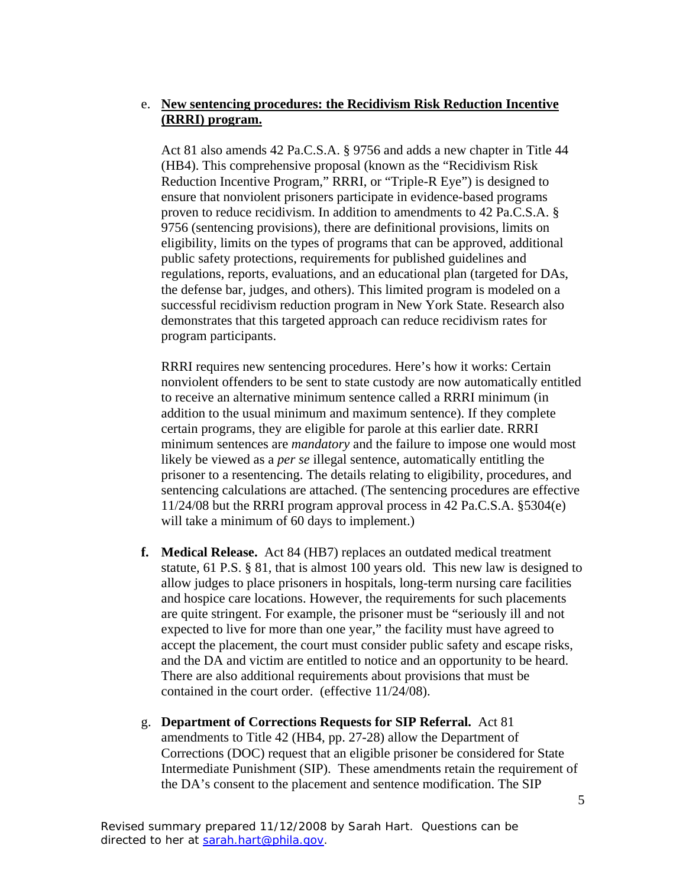# e. **New sentencing procedures: the Recidivism Risk Reduction Incentive (RRRI) program.**

Act 81 also amends 42 Pa.C.S.A. § 9756 and adds a new chapter in Title 44 (HB4). This comprehensive proposal (known as the "Recidivism Risk Reduction Incentive Program," RRRI, or "Triple-R Eye") is designed to ensure that nonviolent prisoners participate in evidence-based programs proven to reduce recidivism. In addition to amendments to 42 Pa.C.S.A. § 9756 (sentencing provisions), there are definitional provisions, limits on eligibility, limits on the types of programs that can be approved, additional public safety protections, requirements for published guidelines and regulations, reports, evaluations, and an educational plan (targeted for DAs, the defense bar, judges, and others). This limited program is modeled on a successful recidivism reduction program in New York State. Research also demonstrates that this targeted approach can reduce recidivism rates for program participants.

RRRI requires new sentencing procedures. Here's how it works: Certain nonviolent offenders to be sent to state custody are now automatically entitled to receive an alternative minimum sentence called a RRRI minimum (in addition to the usual minimum and maximum sentence). If they complete certain programs, they are eligible for parole at this earlier date. RRRI minimum sentences are *mandatory* and the failure to impose one would most likely be viewed as a *per se* illegal sentence, automatically entitling the prisoner to a resentencing. The details relating to eligibility, procedures, and sentencing calculations are attached. (The sentencing procedures are effective 11/24/08 but the RRRI program approval process in 42 Pa.C.S.A. §5304(e) will take a minimum of 60 days to implement.)

- **f. Medical Release.** Act 84 (HB7) replaces an outdated medical treatment statute, 61 P.S. § 81, that is almost 100 years old. This new law is designed to allow judges to place prisoners in hospitals, long-term nursing care facilities and hospice care locations. However, the requirements for such placements are quite stringent. For example, the prisoner must be "seriously ill and not expected to live for more than one year," the facility must have agreed to accept the placement, the court must consider public safety and escape risks, and the DA and victim are entitled to notice and an opportunity to be heard. There are also additional requirements about provisions that must be contained in the court order. (effective 11/24/08).
- g. **Department of Corrections Requests for SIP Referral.** Act 81 amendments to Title 42 (HB4, pp. 27-28) allow the Department of Corrections (DOC) request that an eligible prisoner be considered for State Intermediate Punishment (SIP). These amendments retain the requirement of the DA's consent to the placement and sentence modification. The SIP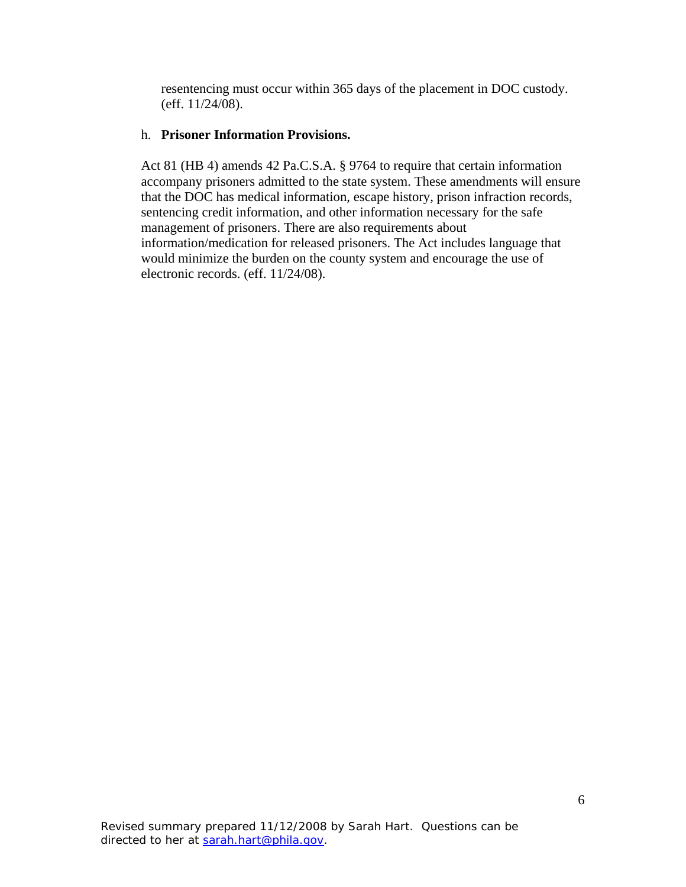resentencing must occur within 365 days of the placement in DOC custody. (eff. 11/24/08).

### h. **Prisoner Information Provisions.**

Act 81 (HB 4) amends 42 Pa.C.S.A. § 9764 to require that certain information accompany prisoners admitted to the state system. These amendments will ensure that the DOC has medical information, escape history, prison infraction records, sentencing credit information, and other information necessary for the safe management of prisoners. There are also requirements about information/medication for released prisoners. The Act includes language that would minimize the burden on the county system and encourage the use of electronic records. (eff. 11/24/08).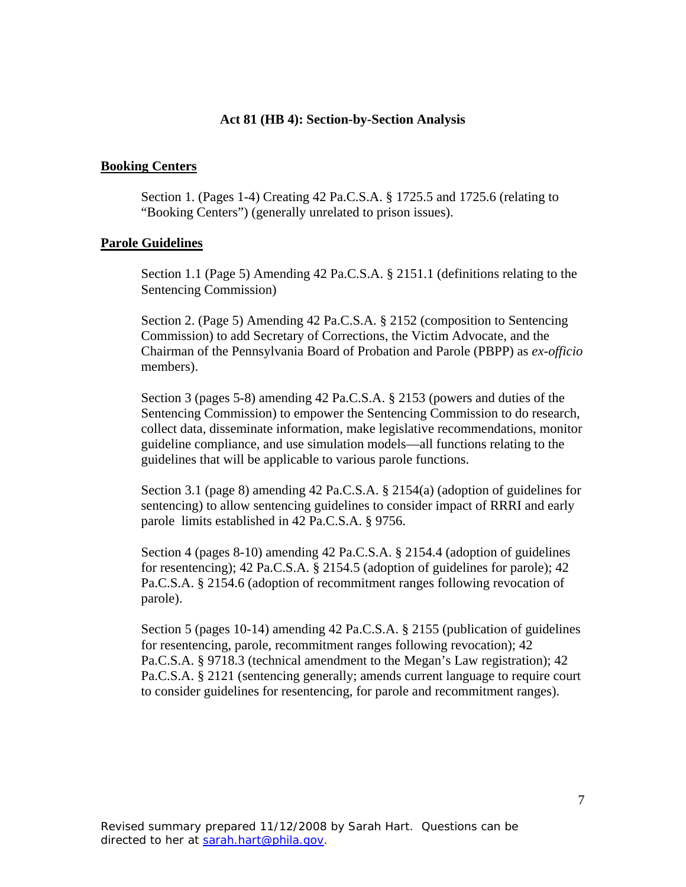#### **Act 81 (HB 4): Section-by-Section Analysis**

### **Booking Centers**

Section 1. (Pages 1-4) Creating 42 Pa.C.S.A. § 1725.5 and 1725.6 (relating to "Booking Centers") (generally unrelated to prison issues).

#### **Parole Guidelines**

Section 1.1 (Page 5) Amending 42 Pa.C.S.A. § 2151.1 (definitions relating to the Sentencing Commission)

Section 2. (Page 5) Amending 42 Pa.C.S.A. § 2152 (composition to Sentencing Commission) to add Secretary of Corrections, the Victim Advocate, and the Chairman of the Pennsylvania Board of Probation and Parole (PBPP) as *ex-officio* members).

Section 3 (pages 5-8) amending 42 Pa.C.S.A. § 2153 (powers and duties of the Sentencing Commission) to empower the Sentencing Commission to do research, collect data, disseminate information, make legislative recommendations, monitor guideline compliance, and use simulation models—all functions relating to the guidelines that will be applicable to various parole functions.

Section 3.1 (page 8) amending 42 Pa.C.S.A. § 2154(a) (adoption of guidelines for sentencing) to allow sentencing guidelines to consider impact of RRRI and early parole limits established in 42 Pa.C.S.A. § 9756.

Section 4 (pages 8-10) amending 42 Pa.C.S.A. § 2154.4 (adoption of guidelines for resentencing); 42 Pa.C.S.A. § 2154.5 (adoption of guidelines for parole); 42 Pa.C.S.A. § 2154.6 (adoption of recommitment ranges following revocation of parole).

Section 5 (pages 10-14) amending 42 Pa.C.S.A. § 2155 (publication of guidelines for resentencing, parole, recommitment ranges following revocation); 42 Pa.C.S.A. § 9718.3 (technical amendment to the Megan's Law registration); 42 Pa.C.S.A. § 2121 (sentencing generally; amends current language to require court to consider guidelines for resentencing, for parole and recommitment ranges).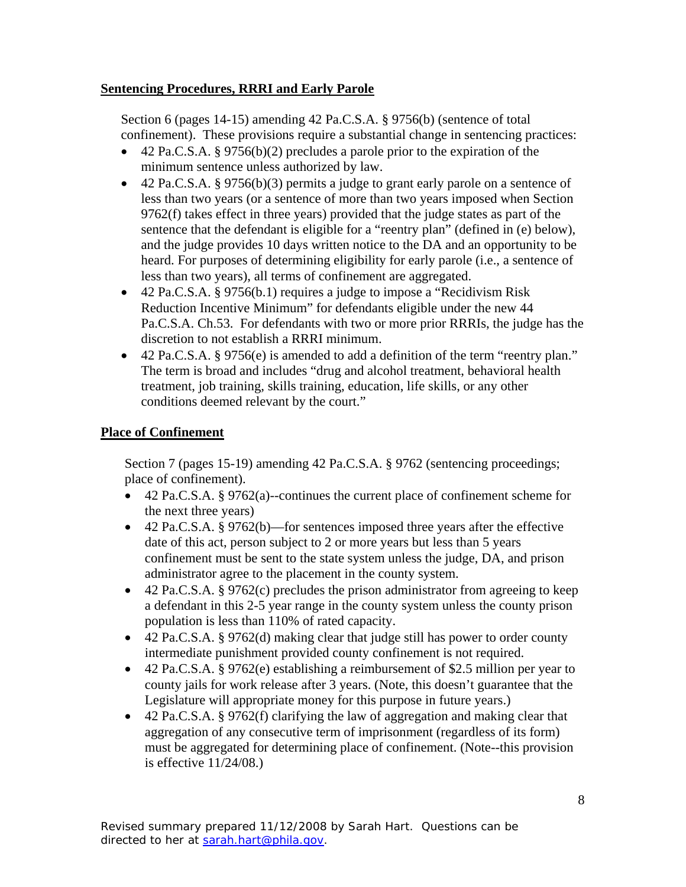# **Sentencing Procedures, RRRI and Early Parole**

Section 6 (pages 14-15) amending 42 Pa.C.S.A. § 9756(b) (sentence of total confinement). These provisions require a substantial change in sentencing practices:

- 42 Pa.C.S.A. § 9756(b)(2) precludes a parole prior to the expiration of the minimum sentence unless authorized by law.
- 42 Pa.C.S.A. § 9756(b)(3) permits a judge to grant early parole on a sentence of less than two years (or a sentence of more than two years imposed when Section 9762(f) takes effect in three years) provided that the judge states as part of the sentence that the defendant is eligible for a "reentry plan" (defined in (e) below), and the judge provides 10 days written notice to the DA and an opportunity to be heard. For purposes of determining eligibility for early parole (i.e., a sentence of less than two years), all terms of confinement are aggregated.
- 42 Pa.C.S.A. § 9756(b.1) requires a judge to impose a "Recidivism Risk Reduction Incentive Minimum" for defendants eligible under the new 44 Pa.C.S.A. Ch.53. For defendants with two or more prior RRRIs, the judge has the discretion to not establish a RRRI minimum.
- 42 Pa.C.S.A. § 9756(e) is amended to add a definition of the term "reentry plan." The term is broad and includes "drug and alcohol treatment, behavioral health treatment, job training, skills training, education, life skills, or any other conditions deemed relevant by the court."

# **Place of Confinement**

Section 7 (pages 15-19) amending 42 Pa.C.S.A. § 9762 (sentencing proceedings; place of confinement).

- 42 Pa.C.S.A. § 9762(a)--continues the current place of confinement scheme for the next three years)
- 42 Pa.C.S.A. § 9762(b)—for sentences imposed three years after the effective date of this act, person subject to 2 or more years but less than 5 years confinement must be sent to the state system unless the judge, DA, and prison administrator agree to the placement in the county system.
- 42 Pa.C.S.A. § 9762(c) precludes the prison administrator from agreeing to keep a defendant in this 2-5 year range in the county system unless the county prison population is less than 110% of rated capacity.
- 42 Pa.C.S.A. § 9762(d) making clear that judge still has power to order county intermediate punishment provided county confinement is not required.
- 42 Pa.C.S.A. § 9762(e) establishing a reimbursement of \$2.5 million per year to county jails for work release after 3 years. (Note, this doesn't guarantee that the Legislature will appropriate money for this purpose in future years.)
- 42 Pa.C.S.A. § 9762(f) clarifying the law of aggregation and making clear that aggregation of any consecutive term of imprisonment (regardless of its form) must be aggregated for determining place of confinement. (Note--this provision is effective 11/24/08.)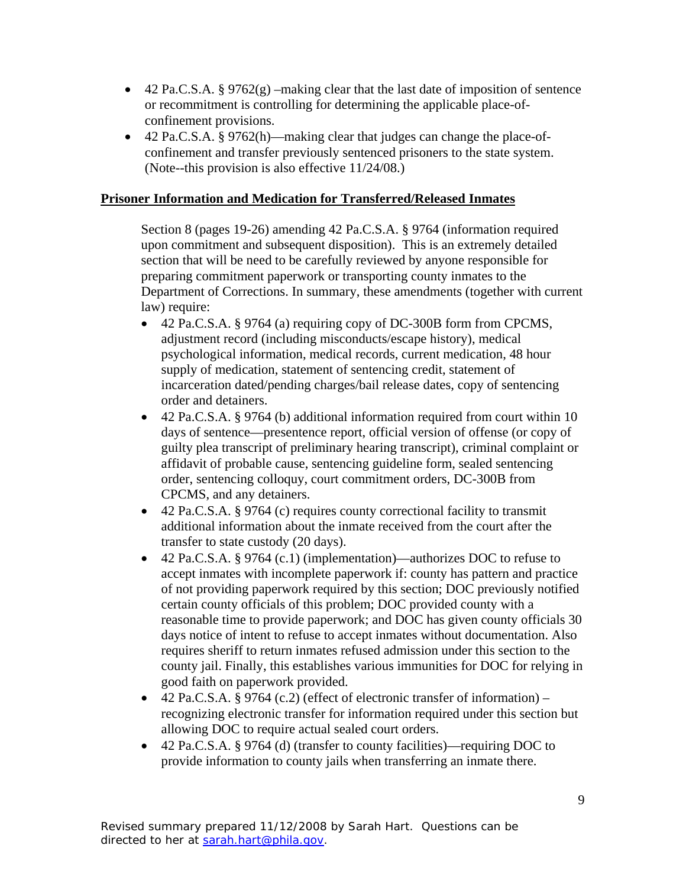- 42 Pa.C.S.A. § 9762 $(g)$  –making clear that the last date of imposition of sentence or recommitment is controlling for determining the applicable place-ofconfinement provisions.
- 42 Pa.C.S.A. § 9762(h)—making clear that judges can change the place-ofconfinement and transfer previously sentenced prisoners to the state system. (Note--this provision is also effective 11/24/08.)

## **Prisoner Information and Medication for Transferred/Released Inmates**

Section 8 (pages 19-26) amending 42 Pa.C.S.A. § 9764 (information required upon commitment and subsequent disposition). This is an extremely detailed section that will be need to be carefully reviewed by anyone responsible for preparing commitment paperwork or transporting county inmates to the Department of Corrections. In summary, these amendments (together with current law) require:

- 42 Pa.C.S.A. § 9764 (a) requiring copy of DC-300B form from CPCMS, adjustment record (including misconducts/escape history), medical psychological information, medical records, current medication, 48 hour supply of medication, statement of sentencing credit, statement of incarceration dated/pending charges/bail release dates, copy of sentencing order and detainers.
- 42 Pa.C.S.A. § 9764 (b) additional information required from court within 10 days of sentence—presentence report, official version of offense (or copy of guilty plea transcript of preliminary hearing transcript), criminal complaint or affidavit of probable cause, sentencing guideline form, sealed sentencing order, sentencing colloquy, court commitment orders, DC-300B from CPCMS, and any detainers.
- 42 Pa.C.S.A. § 9764 (c) requires county correctional facility to transmit additional information about the inmate received from the court after the transfer to state custody (20 days).
- 42 Pa.C.S.A. § 9764 (c.1) (implementation)—authorizes DOC to refuse to accept inmates with incomplete paperwork if: county has pattern and practice of not providing paperwork required by this section; DOC previously notified certain county officials of this problem; DOC provided county with a reasonable time to provide paperwork; and DOC has given county officials 30 days notice of intent to refuse to accept inmates without documentation. Also requires sheriff to return inmates refused admission under this section to the county jail. Finally, this establishes various immunities for DOC for relying in good faith on paperwork provided.
- 42 Pa.C.S.A. § 9764 (c.2) (effect of electronic transfer of information) recognizing electronic transfer for information required under this section but allowing DOC to require actual sealed court orders.
- 42 Pa.C.S.A. § 9764 (d) (transfer to county facilities)—requiring DOC to provide information to county jails when transferring an inmate there.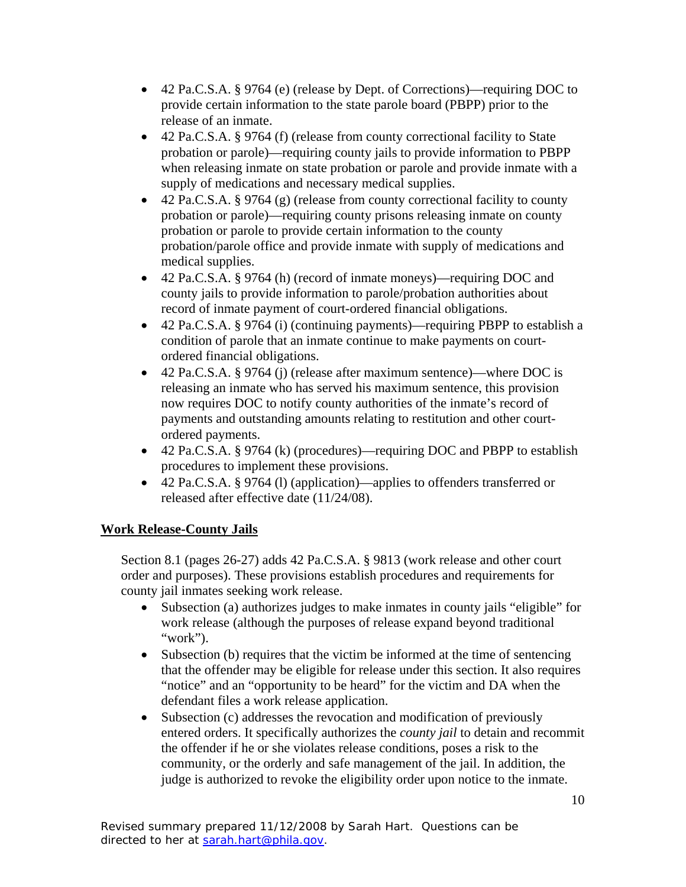- 42 Pa.C.S.A. § 9764 (e) (release by Dept. of Corrections)—requiring DOC to provide certain information to the state parole board (PBPP) prior to the release of an inmate.
- 42 Pa.C.S.A. § 9764 (f) (release from county correctional facility to State probation or parole)—requiring county jails to provide information to PBPP when releasing inmate on state probation or parole and provide inmate with a supply of medications and necessary medical supplies.
- 42 Pa.C.S.A. § 9764 (g) (release from county correctional facility to county probation or parole)—requiring county prisons releasing inmate on county probation or parole to provide certain information to the county probation/parole office and provide inmate with supply of medications and medical supplies.
- 42 Pa.C.S.A. § 9764 (h) (record of inmate moneys)—requiring DOC and county jails to provide information to parole/probation authorities about record of inmate payment of court-ordered financial obligations.
- 42 Pa.C.S.A. § 9764 (i) (continuing payments)—requiring PBPP to establish a condition of parole that an inmate continue to make payments on courtordered financial obligations.
- 42 Pa.C.S.A. § 9764 (j) (release after maximum sentence)—where DOC is releasing an inmate who has served his maximum sentence, this provision now requires DOC to notify county authorities of the inmate's record of payments and outstanding amounts relating to restitution and other courtordered payments.
- 42 Pa.C.S.A. § 9764 (k) (procedures)—requiring DOC and PBPP to establish procedures to implement these provisions.
- 42 Pa.C.S.A. § 9764 (l) (application)—applies to offenders transferred or released after effective date (11/24/08).

# **Work Release-County Jails**

Section 8.1 (pages 26-27) adds 42 Pa.C.S.A. § 9813 (work release and other court order and purposes). These provisions establish procedures and requirements for county jail inmates seeking work release.

- Subsection (a) authorizes judges to make inmates in county jails "eligible" for work release (although the purposes of release expand beyond traditional "work").
- Subsection (b) requires that the victim be informed at the time of sentencing that the offender may be eligible for release under this section. It also requires "notice" and an "opportunity to be heard" for the victim and DA when the defendant files a work release application.
- Subsection (c) addresses the revocation and modification of previously entered orders. It specifically authorizes the *county jail* to detain and recommit the offender if he or she violates release conditions, poses a risk to the community, or the orderly and safe management of the jail. In addition, the judge is authorized to revoke the eligibility order upon notice to the inmate.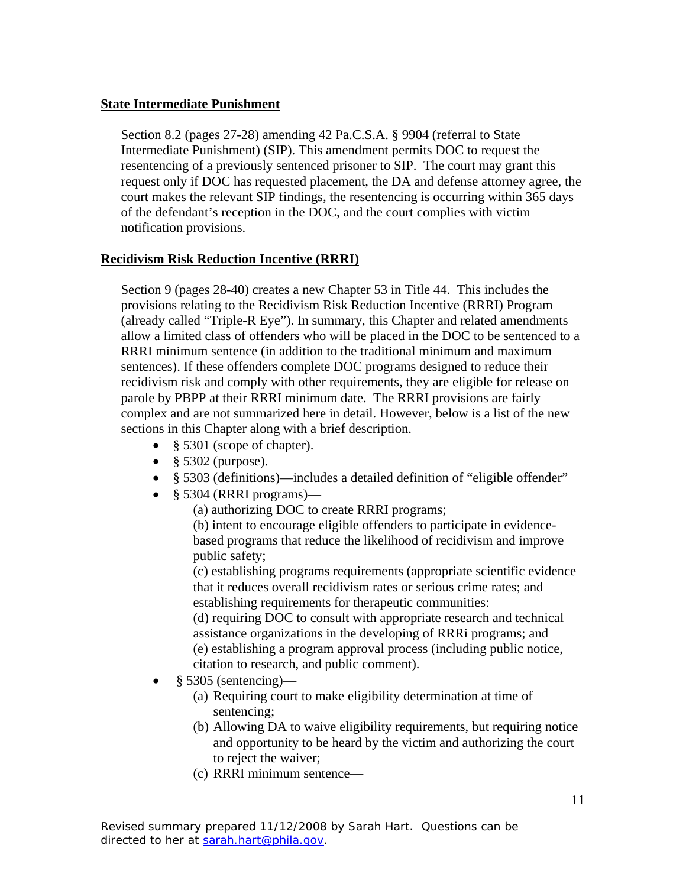# **State Intermediate Punishment**

Section 8.2 (pages 27-28) amending 42 Pa.C.S.A. § 9904 (referral to State Intermediate Punishment) (SIP). This amendment permits DOC to request the resentencing of a previously sentenced prisoner to SIP. The court may grant this request only if DOC has requested placement, the DA and defense attorney agree, the court makes the relevant SIP findings, the resentencing is occurring within 365 days of the defendant's reception in the DOC, and the court complies with victim notification provisions.

## **Recidivism Risk Reduction Incentive (RRRI)**

Section 9 (pages 28-40) creates a new Chapter 53 in Title 44. This includes the provisions relating to the Recidivism Risk Reduction Incentive (RRRI) Program (already called "Triple-R Eye"). In summary, this Chapter and related amendments allow a limited class of offenders who will be placed in the DOC to be sentenced to a RRRI minimum sentence (in addition to the traditional minimum and maximum sentences). If these offenders complete DOC programs designed to reduce their recidivism risk and comply with other requirements, they are eligible for release on parole by PBPP at their RRRI minimum date. The RRRI provisions are fairly complex and are not summarized here in detail. However, below is a list of the new sections in this Chapter along with a brief description.

- § 5301 (scope of chapter).
- § 5302 (purpose).
- § 5303 (definitions)—includes a detailed definition of "eligible offender"
- § 5304 (RRRI programs)—
	- (a) authorizing DOC to create RRRI programs;

(b) intent to encourage eligible offenders to participate in evidencebased programs that reduce the likelihood of recidivism and improve public safety;

(c) establishing programs requirements (appropriate scientific evidence that it reduces overall recidivism rates or serious crime rates; and establishing requirements for therapeutic communities:

(d) requiring DOC to consult with appropriate research and technical assistance organizations in the developing of RRRi programs; and (e) establishing a program approval process (including public notice, citation to research, and public comment).

- $§$  5305 (sentencing)—
	- (a) Requiring court to make eligibility determination at time of sentencing;
	- (b) Allowing DA to waive eligibility requirements, but requiring notice and opportunity to be heard by the victim and authorizing the court to reject the waiver;
	- (c) RRRI minimum sentence—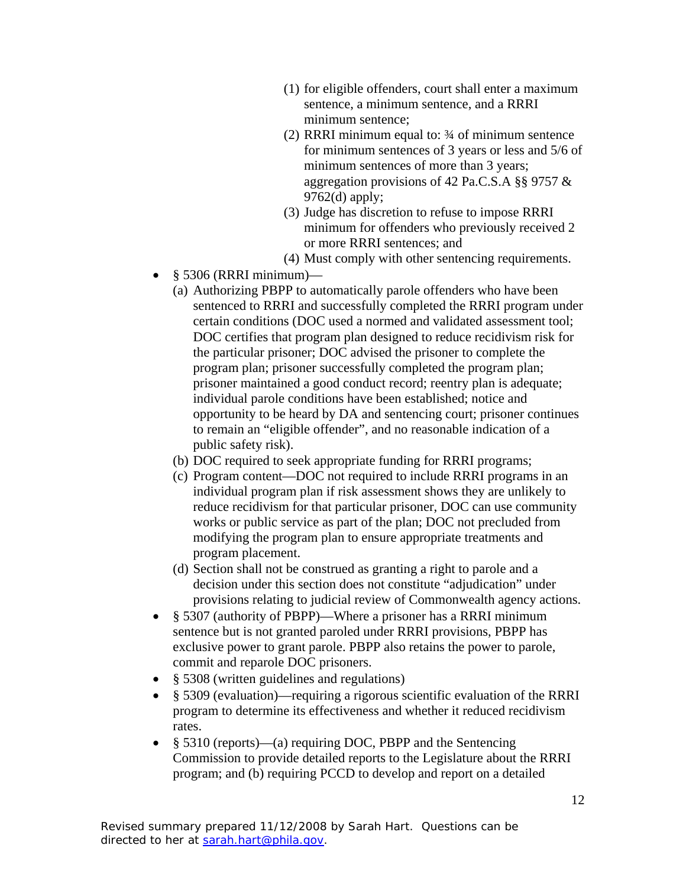- (1) for eligible offenders, court shall enter a maximum sentence, a minimum sentence, and a RRRI minimum sentence;
- (2) RRRI minimum equal to: ¾ of minimum sentence for minimum sentences of 3 years or less and 5/6 of minimum sentences of more than 3 years; aggregation provisions of 42 Pa.C.S.A §§ 9757 & 9762(d) apply;
- (3) Judge has discretion to refuse to impose RRRI minimum for offenders who previously received 2 or more RRRI sentences; and
- (4) Must comply with other sentencing requirements.
- § 5306 (RRRI minimum)—
	- (a) Authorizing PBPP to automatically parole offenders who have been sentenced to RRRI and successfully completed the RRRI program under certain conditions (DOC used a normed and validated assessment tool; DOC certifies that program plan designed to reduce recidivism risk for the particular prisoner; DOC advised the prisoner to complete the program plan; prisoner successfully completed the program plan; prisoner maintained a good conduct record; reentry plan is adequate; individual parole conditions have been established; notice and opportunity to be heard by DA and sentencing court; prisoner continues to remain an "eligible offender", and no reasonable indication of a public safety risk).
	- (b) DOC required to seek appropriate funding for RRRI programs;
	- (c) Program content—DOC not required to include RRRI programs in an individual program plan if risk assessment shows they are unlikely to reduce recidivism for that particular prisoner, DOC can use community works or public service as part of the plan; DOC not precluded from modifying the program plan to ensure appropriate treatments and program placement.
	- (d) Section shall not be construed as granting a right to parole and a decision under this section does not constitute "adjudication" under provisions relating to judicial review of Commonwealth agency actions.
- § 5307 (authority of PBPP)—Where a prisoner has a RRRI minimum sentence but is not granted paroled under RRRI provisions, PBPP has exclusive power to grant parole. PBPP also retains the power to parole, commit and reparole DOC prisoners.
- § 5308 (written guidelines and regulations)
- § 5309 (evaluation)—requiring a rigorous scientific evaluation of the RRRI program to determine its effectiveness and whether it reduced recidivism rates.
- § 5310 (reports)—(a) requiring DOC, PBPP and the Sentencing Commission to provide detailed reports to the Legislature about the RRRI program; and (b) requiring PCCD to develop and report on a detailed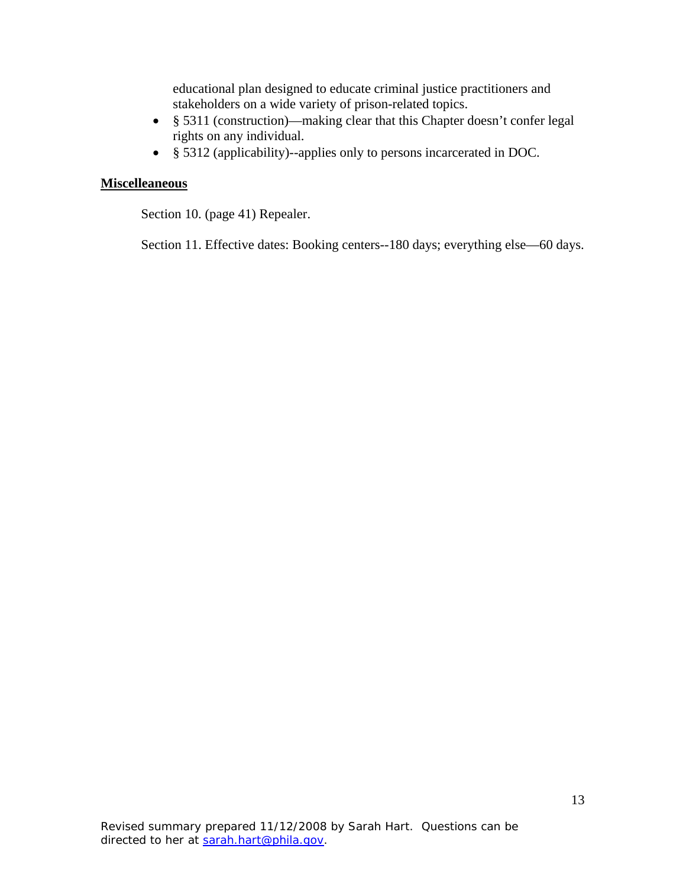educational plan designed to educate criminal justice practitioners and stakeholders on a wide variety of prison-related topics.

- § 5311 (construction)—making clear that this Chapter doesn't confer legal rights on any individual.
- § 5312 (applicability)--applies only to persons incarcerated in DOC.

#### **Miscelleaneous**

Section 10. (page 41) Repealer.

Section 11. Effective dates: Booking centers--180 days; everything else—60 days.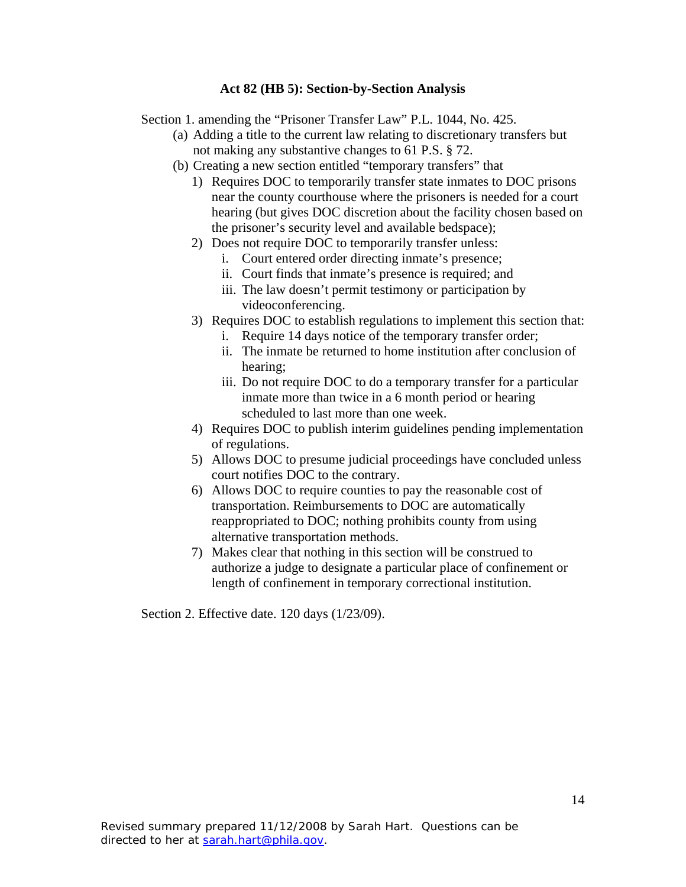### **Act 82 (HB 5): Section-by-Section Analysis**

Section 1. amending the "Prisoner Transfer Law" P.L. 1044, No. 425.

- (a) Adding a title to the current law relating to discretionary transfers but not making any substantive changes to 61 P.S. § 72.
- (b) Creating a new section entitled "temporary transfers" that
	- 1) Requires DOC to temporarily transfer state inmates to DOC prisons near the county courthouse where the prisoners is needed for a court hearing (but gives DOC discretion about the facility chosen based on the prisoner's security level and available bedspace);
	- 2) Does not require DOC to temporarily transfer unless:
		- i. Court entered order directing inmate's presence;
		- ii. Court finds that inmate's presence is required; and
		- iii. The law doesn't permit testimony or participation by videoconferencing.
	- 3) Requires DOC to establish regulations to implement this section that:
		- i. Require 14 days notice of the temporary transfer order;
		- ii. The inmate be returned to home institution after conclusion of hearing;
		- iii. Do not require DOC to do a temporary transfer for a particular inmate more than twice in a 6 month period or hearing scheduled to last more than one week.
	- 4) Requires DOC to publish interim guidelines pending implementation of regulations.
	- 5) Allows DOC to presume judicial proceedings have concluded unless court notifies DOC to the contrary.
	- 6) Allows DOC to require counties to pay the reasonable cost of transportation. Reimbursements to DOC are automatically reappropriated to DOC; nothing prohibits county from using alternative transportation methods.
	- 7) Makes clear that nothing in this section will be construed to authorize a judge to designate a particular place of confinement or length of confinement in temporary correctional institution.

Section 2. Effective date. 120 days (1/23/09).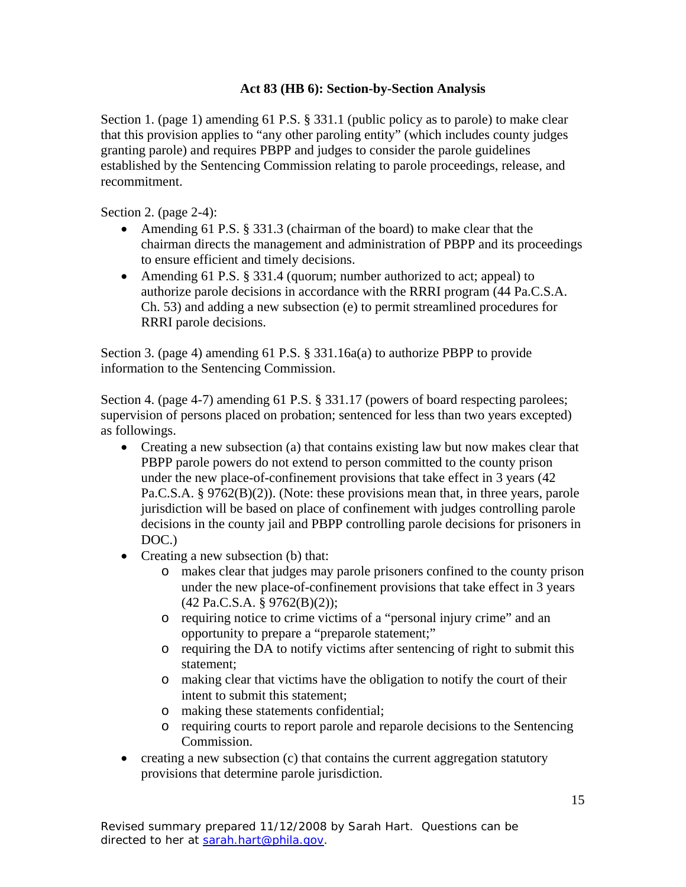# **Act 83 (HB 6): Section-by-Section Analysis**

Section 1. (page 1) amending 61 P.S. § 331.1 (public policy as to parole) to make clear that this provision applies to "any other paroling entity" (which includes county judges granting parole) and requires PBPP and judges to consider the parole guidelines established by the Sentencing Commission relating to parole proceedings, release, and recommitment.

Section 2. (page 2-4):

- Amending 61 P.S. § 331.3 (chairman of the board) to make clear that the chairman directs the management and administration of PBPP and its proceedings to ensure efficient and timely decisions.
- Amending 61 P.S. § 331.4 (quorum; number authorized to act; appeal) to authorize parole decisions in accordance with the RRRI program (44 Pa.C.S.A. Ch. 53) and adding a new subsection (e) to permit streamlined procedures for RRRI parole decisions.

Section 3. (page 4) amending 61 P.S. § 331.16a(a) to authorize PBPP to provide information to the Sentencing Commission.

Section 4. (page 4-7) amending 61 P.S. § 331.17 (powers of board respecting parolees; supervision of persons placed on probation; sentenced for less than two years excepted) as followings.

- Creating a new subsection (a) that contains existing law but now makes clear that PBPP parole powers do not extend to person committed to the county prison under the new place-of-confinement provisions that take effect in 3 years (42 Pa.C.S.A. § 9762(B)(2)). (Note: these provisions mean that, in three years, parole jurisdiction will be based on place of confinement with judges controlling parole decisions in the county jail and PBPP controlling parole decisions for prisoners in DOC.)
- Creating a new subsection (b) that:
	- o makes clear that judges may parole prisoners confined to the county prison under the new place-of-confinement provisions that take effect in 3 years (42 Pa.C.S.A. § 9762(B)(2));
	- o requiring notice to crime victims of a "personal injury crime" and an opportunity to prepare a "preparole statement;"
	- o requiring the DA to notify victims after sentencing of right to submit this statement;
	- o making clear that victims have the obligation to notify the court of their intent to submit this statement;
	- o making these statements confidential;
	- o requiring courts to report parole and reparole decisions to the Sentencing Commission.
- creating a new subsection (c) that contains the current aggregation statutory provisions that determine parole jurisdiction.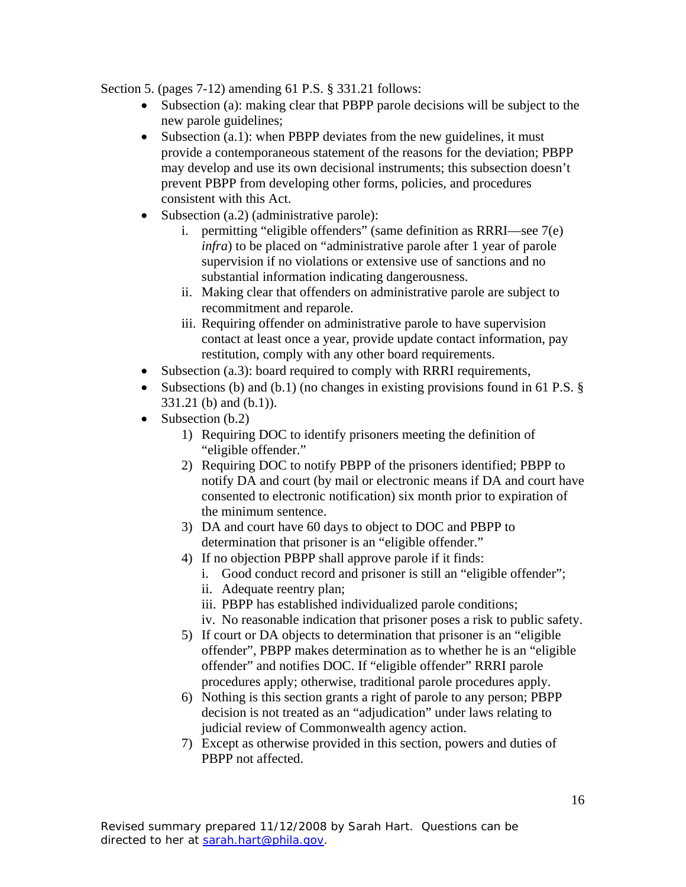Section 5. (pages 7-12) amending 61 P.S. § 331.21 follows:

- Subsection (a): making clear that PBPP parole decisions will be subject to the new parole guidelines;
- Subsection (a.1): when PBPP deviates from the new guidelines, it must provide a contemporaneous statement of the reasons for the deviation; PBPP may develop and use its own decisional instruments; this subsection doesn't prevent PBPP from developing other forms, policies, and procedures consistent with this Act.
- Subsection (a.2) (administrative parole):
	- i. permitting "eligible offenders" (same definition as RRRI—see 7(e) *infra*) to be placed on "administrative parole after 1 year of parole supervision if no violations or extensive use of sanctions and no substantial information indicating dangerousness.
	- ii. Making clear that offenders on administrative parole are subject to recommitment and reparole.
	- iii. Requiring offender on administrative parole to have supervision contact at least once a year, provide update contact information, pay restitution, comply with any other board requirements.
- Subsection (a.3): board required to comply with RRRI requirements,
- Subsections (b) and (b.1) (no changes in existing provisions found in 61 P.S. § 331.21 (b) and (b.1)).
- Subsection (b.2)
	- 1) Requiring DOC to identify prisoners meeting the definition of "eligible offender."
	- 2) Requiring DOC to notify PBPP of the prisoners identified; PBPP to notify DA and court (by mail or electronic means if DA and court have consented to electronic notification) six month prior to expiration of the minimum sentence.
	- 3) DA and court have 60 days to object to DOC and PBPP to determination that prisoner is an "eligible offender."
	- 4) If no objection PBPP shall approve parole if it finds:
		- i. Good conduct record and prisoner is still an "eligible offender";
		- ii. Adequate reentry plan;
			- iii. PBPP has established individualized parole conditions;
			- iv. No reasonable indication that prisoner poses a risk to public safety.
	- 5) If court or DA objects to determination that prisoner is an "eligible offender", PBPP makes determination as to whether he is an "eligible offender" and notifies DOC. If "eligible offender" RRRI parole procedures apply; otherwise, traditional parole procedures apply.
	- 6) Nothing is this section grants a right of parole to any person; PBPP decision is not treated as an "adjudication" under laws relating to judicial review of Commonwealth agency action.
	- 7) Except as otherwise provided in this section, powers and duties of PBPP not affected.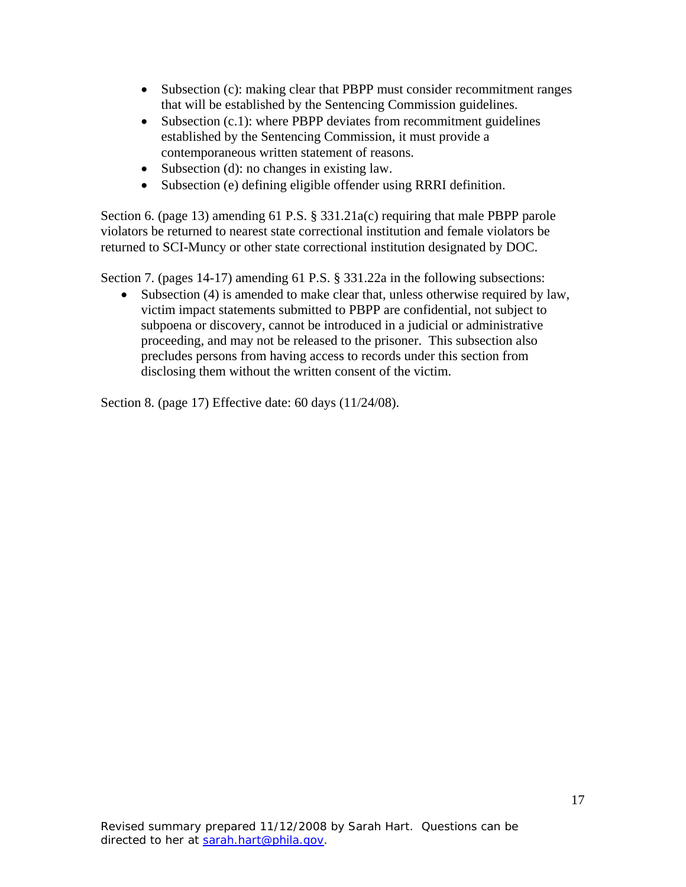- Subsection (c): making clear that PBPP must consider recommitment ranges that will be established by the Sentencing Commission guidelines.
- Subsection (c.1): where PBPP deviates from recommitment guidelines established by the Sentencing Commission, it must provide a contemporaneous written statement of reasons.
- Subsection (d): no changes in existing law.
- Subsection (e) defining eligible offender using RRRI definition.

Section 6. (page 13) amending 61 P.S. § 331.21a(c) requiring that male PBPP parole violators be returned to nearest state correctional institution and female violators be returned to SCI-Muncy or other state correctional institution designated by DOC.

Section 7. (pages 14-17) amending 61 P.S. § 331.22a in the following subsections:

• Subsection (4) is amended to make clear that, unless otherwise required by law, victim impact statements submitted to PBPP are confidential, not subject to subpoena or discovery, cannot be introduced in a judicial or administrative proceeding, and may not be released to the prisoner. This subsection also precludes persons from having access to records under this section from disclosing them without the written consent of the victim.

Section 8. (page 17) Effective date: 60 days (11/24/08).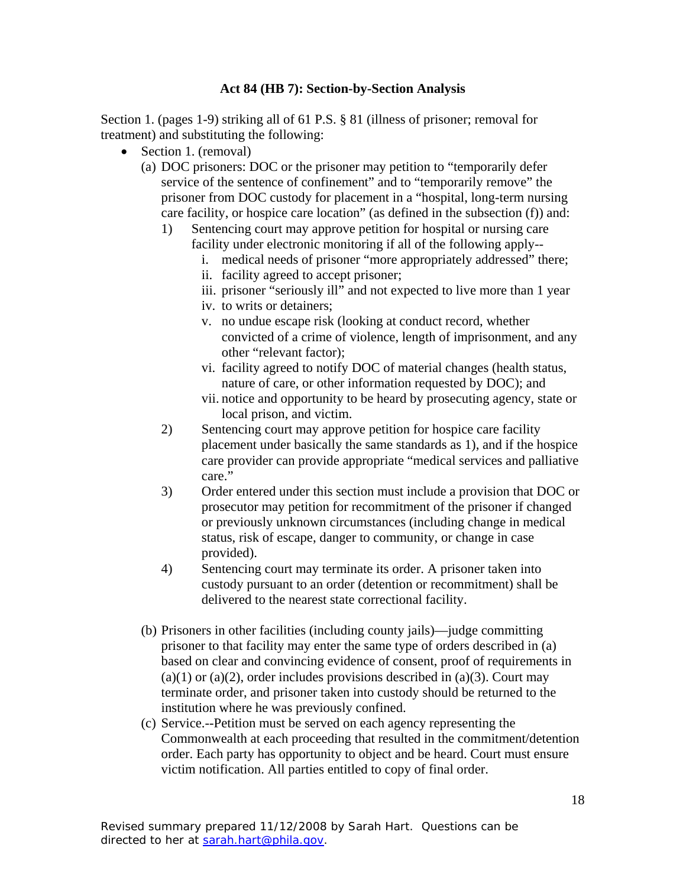## **Act 84 (HB 7): Section-by-Section Analysis**

Section 1. (pages 1-9) striking all of 61 P.S. § 81 (illness of prisoner; removal for treatment) and substituting the following:

- Section 1. (removal)
	- (a) DOC prisoners: DOC or the prisoner may petition to "temporarily defer service of the sentence of confinement" and to "temporarily remove" the prisoner from DOC custody for placement in a "hospital, long-term nursing care facility, or hospice care location" (as defined in the subsection (f)) and:
		- 1) Sentencing court may approve petition for hospital or nursing care facility under electronic monitoring if all of the following apply-
			- i. medical needs of prisoner "more appropriately addressed" there;
			- ii. facility agreed to accept prisoner;
			- iii. prisoner "seriously ill" and not expected to live more than 1 year
			- iv. to writs or detainers;
			- v. no undue escape risk (looking at conduct record, whether convicted of a crime of violence, length of imprisonment, and any other "relevant factor);
			- vi. facility agreed to notify DOC of material changes (health status, nature of care, or other information requested by DOC); and
			- vii. notice and opportunity to be heard by prosecuting agency, state or local prison, and victim.
		- 2) Sentencing court may approve petition for hospice care facility placement under basically the same standards as 1), and if the hospice care provider can provide appropriate "medical services and palliative care."
		- 3) Order entered under this section must include a provision that DOC or prosecutor may petition for recommitment of the prisoner if changed or previously unknown circumstances (including change in medical status, risk of escape, danger to community, or change in case provided).
		- 4) Sentencing court may terminate its order. A prisoner taken into custody pursuant to an order (detention or recommitment) shall be delivered to the nearest state correctional facility.
	- (b) Prisoners in other facilities (including county jails)—judge committing prisoner to that facility may enter the same type of orders described in (a) based on clear and convincing evidence of consent, proof of requirements in  $(a)(1)$  or  $(a)(2)$ , order includes provisions described in  $(a)(3)$ . Court may terminate order, and prisoner taken into custody should be returned to the institution where he was previously confined.
	- (c) Service.--Petition must be served on each agency representing the Commonwealth at each proceeding that resulted in the commitment/detention order. Each party has opportunity to object and be heard. Court must ensure victim notification. All parties entitled to copy of final order.